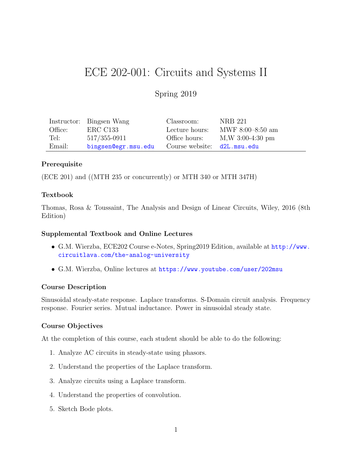# ECE 202-001: Circuits and Systems II

# Spring 2019

|         | Instructor: Bingsen Wang | Classroom:                  | NRB 221            |
|---------|--------------------------|-----------------------------|--------------------|
| Office: | ERC C133                 | Lecture hours:              | MWF $8:00-8:50$ am |
| Tel:    | $517/355 - 0911$         | Office hours:               | $M,W$ 3:00-4:30 pm |
| Email:  | bingsen@egr.msu.edu      | Course website: d2L.msu.edu |                    |

# Prerequisite

(ECE 201) and ((MTH 235 or concurrently) or MTH 340 or MTH 347H)

#### Textbook

Thomas, Rosa & Toussaint, The Analysis and Design of Linear Circuits, Wiley, 2016 (8th Edition)

#### Supplemental Textbook and Online Lectures

- G.M. Wierzba, ECE202 Course e-Notes, Spring2019 Edition, available at [http://www.](http://www.circuitlava.com/the-analog-university) [circuitlava.com/the-analog-university](http://www.circuitlava.com/the-analog-university)
- G.M. Wierzba, Online lectures at <https://www.youtube.com/user/202msu>

#### Course Description

Sinusoidal steady-state response. Laplace transforms. S-Domain circuit analysis. Frequency response. Fourier series. Mutual inductance. Power in sinusoidal steady state.

#### Course Objectives

At the completion of this course, each student should be able to do the following:

- 1. Analyze AC circuits in steady-state using phasors.
- 2. Understand the properties of the Laplace transform.
- 3. Analyze circuits using a Laplace transform.
- 4. Understand the properties of convolution.
- 5. Sketch Bode plots.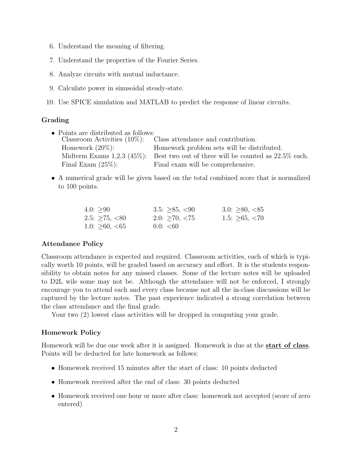- 6. Understand the meaning of filtering.
- 7. Understand the properties of the Fourier Series.
- 8. Analyze circuits with mutual inductance.
- 9. Calculate power in sinusoidal steady-state.
- 10. Use SPICE simulation and MATLAB to predict the response of linear circuits.

# Grading

- Points are distributed as follows:<br>Classroom Activities (10%): Class attendance and contribution. Homework (20%): Homework problem sets will be distributed. Midterm Exams 1,2,3 (45%): Best two out of three will be counted as 22.5% each. Final Exam  $(25\%)$ : Final exam will be comprehensive.
- A numerical grade will be given based on the total combined score that is normalized to 100 points.

| 4.0: > 90              | $3.5: \geq 85, \lt 90$  | 3.0: $\geq 80, \leq 85$ |
|------------------------|-------------------------|-------------------------|
| 2.5: $\geq$ 75, <80    | $2.0: \geq 70, \leq 75$ | 1.5: $\geq 65, \leq 70$ |
| 1.0: $\geq 60, \lt 65$ | 0.0: < 60               |                         |

# Attendance Policy

Classroom attendance is expected and required. Classroom activities, each of which is typically worth 10 points, will be graded based on accuracy and effort. It is the students responsibility to obtain notes for any missed classes. Some of the lecture notes will be uploaded to D2L wile some may not be. Although the attendance will not be enforced, I strongly encourage you to attend each and every class because not all the in-class discussions will be captured by the lecture notes. The past experience indicated a strong correlation between the class attendance and the final grade.

Your two (2) lowest class activities will be dropped in computing your grade.

# Homework Policy

Homework will be due one week after it is assigned. Homework is due at the **start of class**. Points will be deducted for late homework as follows:

- Homework received 15 minutes after the start of class: 10 points deducted
- Homework received after the end of class: 30 points deducted
- Homework received one hour or more after class: homework not accepted (score of zero entered)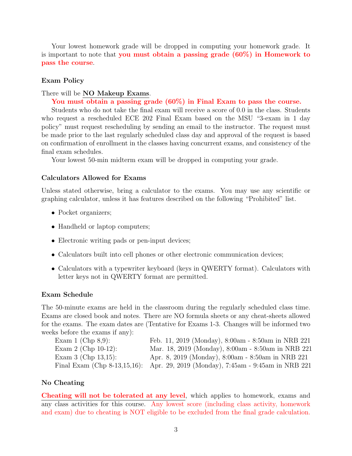Your lowest homework grade will be dropped in computing your homework grade. It is important to note that you must obtain a passing grade (60%) in Homework to pass the course.

#### Exam Policy

There will be **NO** Makeup Exams.

You must obtain a passing grade (60%) in Final Exam to pass the course.

Students who do not take the final exam will receive a score of 0.0 in the class. Students who request a rescheduled ECE 202 Final Exam based on the MSU "3-exam in 1 day policy" must request rescheduling by sending an email to the instructor. The request must be made prior to the last regularly scheduled class day and approval of the request is based on confirmation of enrollment in the classes having concurrent exams, and consistency of the final exam schedules.

Your lowest 50-min midterm exam will be dropped in computing your grade.

#### Calculators Allowed for Exams

Unless stated otherwise, bring a calculator to the exams. You may use any scientific or graphing calculator, unless it has features described on the following "Prohibited" list.

- Pocket organizers;
- Handheld or laptop computers;
- Electronic writing pads or pen-input devices;
- Calculators built into cell phones or other electronic communication devices;
- Calculators with a typewriter keyboard (keys in QWERTY format). Calculators with letter keys not in QWERTY format are permitted.

#### Exam Schedule

The 50-minute exams are held in the classroom during the regularly scheduled class time. Exams are closed book and notes. There are NO formula sheets or any cheat-sheets allowed for the exams. The exam dates are (Tentative for Exams 1-3. Changes will be informed two weeks before the exams if any):

| Exam 1 (Chp $8.9$ ):   | Feb. 11, 2019 (Monday), 8:00am - 8:50am in NRB 221                              |
|------------------------|---------------------------------------------------------------------------------|
| Exam 2 (Chp $10-12$ ): | Mar. 18, 2019 (Monday), 8:00am - 8:50am in NRB 221                              |
| Exam 3 (Chp $13,15$ ): | Apr. 8, 2019 (Monday), 8:00am - 8:50am in NRB 221                               |
|                        | Final Exam (Chp 8-13,15,16): Apr. 29, 2019 (Monday), 7:45am - 9:45am in NRB 221 |

#### No Cheating

Cheating will not be tolerated at any level, which applies to homework, exams and any class activities for this course. Any lowest score (including class activity, homework and exam) due to cheating is NOT eligible to be excluded from the final grade calculation.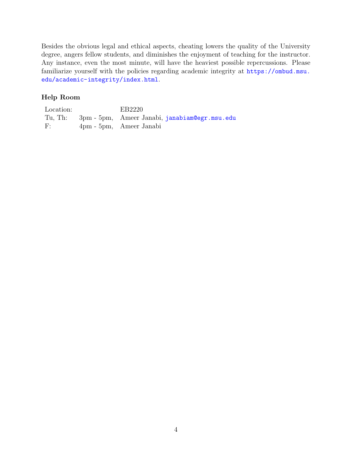Besides the obvious legal and ethical aspects, cheating lowers the quality of the University degree, angers fellow students, and diminishes the enjoyment of teaching for the instructor. Any instance, even the most minute, will have the heaviest possible repercussions. Please familiarize yourself with the policies regarding academic integrity at [https://ombud.msu.](https://ombud.msu.edu/academic-integrity/index.html) [edu/academic-integrity/index.html](https://ombud.msu.edu/academic-integrity/index.html).

# Help Room

| Location: | EB2220                                                 |
|-----------|--------------------------------------------------------|
|           | Tu, Th: 3pm - 5pm, Ameer Janabi, janabiam @egr.msu.edu |
| F:        | 4pm - 5pm, Ameer Janabi                                |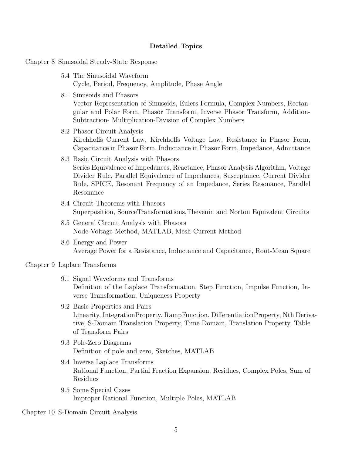#### Detailed Topics

Chapter 8 Sinusoidal Steady-State Response

- 5.4 The Sinusoidal Waveform Cycle, Period, Frequency, Amplitude, Phase Angle
- 8.1 Sinusoids and Phasors

Vector Representation of Sinusoids, Eulers Formula, Complex Numbers, Rectangular and Polar Form, Phasor Transform, Inverse Phasor Transform, Addition-Subtraction- Multiplication-Division of Complex Numbers

- 8.2 Phasor Circuit Analysis Kirchhoffs Current Law, Kirchhoffs Voltage Law, Resistance in Phasor Form, Capacitance in Phasor Form, Inductance in Phasor Form, Impedance, Admittance
- 8.3 Basic Circuit Analysis with Phasors Series Equivalence of Impedances, Reactance, Phasor Analysis Algorithm, Voltage Divider Rule, Parallel Equivalence of Impedances, Susceptance, Current Divider Rule, SPICE, Resonant Frequency of an Impedance, Series Resonance, Parallel Resonance
- 8.4 Circuit Theorems with Phasors Superposition, SourceTransformations,Thevenin and Norton Equivalent Circuits
- 8.5 General Circuit Analysis with Phasors Node-Voltage Method, MATLAB, Mesh-Current Method
- 8.6 Energy and Power Average Power for a Resistance, Inductance and Capacitance, Root-Mean Square

Chapter 9 Laplace Transforms

- 9.1 Signal Waveforms and Transforms Definition of the Laplace Transformation, Step Function, Impulse Function, Inverse Transformation, Uniqueness Property
- 9.2 Basic Properties and Pairs Linearity, IntegrationProperty, RampFunction, DifferentiationProperty, Nth Derivative, S-Domain Translation Property, Time Domain, Translation Property, Table of Transform Pairs
- 9.3 Pole-Zero Diagrams Definition of pole and zero, Sketches, MATLAB
- 9.4 Inverse Laplace Transforms Rational Function, Partial Fraction Expansion, Residues, Complex Poles, Sum of Residues
- 9.5 Some Special Cases Improper Rational Function, Multiple Poles, MATLAB

Chapter 10 S-Domain Circuit Analysis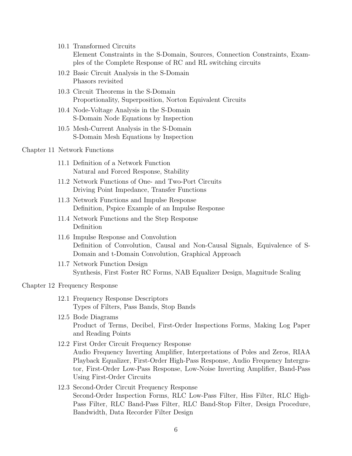10.1 Transformed Circuits

Element Constraints in the S-Domain, Sources, Connection Constraints, Examples of the Complete Response of RC and RL switching circuits

- 10.2 Basic Circuit Analysis in the S-Domain Phasors revisited
- 10.3 Circuit Theorems in the S-Domain Proportionality, Superposition, Norton Equivalent Circuits
- 10.4 Node-Voltage Analysis in the S-Domain S-Domain Node Equations by Inspection
- 10.5 Mesh-Current Analysis in the S-Domain S-Domain Mesh Equations by Inspection

#### Chapter 11 Network Functions

- 11.1 Definition of a Network Function Natural and Forced Response, Stability
- 11.2 Network Functions of One- and Two-Port Circuits Driving Point Impedance, Transfer Functions
- 11.3 Network Functions and Impulse Response Definition, Pspice Example of an Impulse Response
- 11.4 Network Functions and the Step Response Definition
- 11.6 Impulse Response and Convolution Definition of Convolution, Causal and Non-Causal Signals, Equivalence of S-Domain and t-Domain Convolution, Graphical Approach
- 11.7 Network Function Design Synthesis, First Foster RC Forms, NAB Equalizer Design, Magnitude Scaling

#### Chapter 12 Frequency Response

- 12.1 Frequency Response Descriptors Types of Filters, Pass Bands, Stop Bands
- 12.5 Bode Diagrams Product of Terms, Decibel, First-Order Inspections Forms, Making Log Paper and Reading Points
- 12.2 First Order Circuit Frequency Response Audio Frequency Inverting Amplifier, Interpretations of Poles and Zeros, RIAA Playback Equalizer, First-Order High-Pass Response, Audio Frequency Intergrator, First-Order Low-Pass Response, Low-Noise Inverting Amplifier, Band-Pass Using First-Order Circuits
- 12.3 Second-Order Circuit Frequency Response Second-Order Inspection Forms, RLC Low-Pass Filter, Hiss Filter, RLC High-Pass Filter, RLC Band-Pass Filter, RLC Band-Stop Filter, Design Procedure, Bandwidth, Data Recorder Filter Design